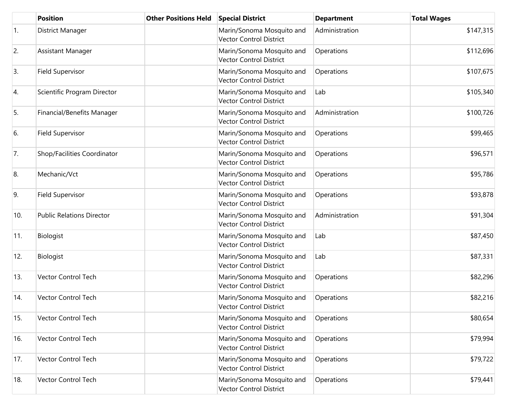|     | <b>Position</b>                  | <b>Other Positions Held</b> | <b>Special District</b>                                     | <b>Department</b> | <b>Total Wages</b> |
|-----|----------------------------------|-----------------------------|-------------------------------------------------------------|-------------------|--------------------|
| 1.  | District Manager                 |                             | Marin/Sonoma Mosquito and<br><b>Vector Control District</b> | Administration    | \$147,315          |
| 2.  | Assistant Manager                |                             | Marin/Sonoma Mosquito and<br><b>Vector Control District</b> | Operations        | \$112,696          |
| 3.  | Field Supervisor                 |                             | Marin/Sonoma Mosquito and<br><b>Vector Control District</b> | Operations        | \$107,675          |
| 4.  | Scientific Program Director      |                             | Marin/Sonoma Mosquito and<br><b>Vector Control District</b> | Lab               | \$105,340          |
| 5.  | Financial/Benefits Manager       |                             | Marin/Sonoma Mosquito and<br><b>Vector Control District</b> | Administration    | \$100,726          |
| 6.  | Field Supervisor                 |                             | Marin/Sonoma Mosquito and<br><b>Vector Control District</b> | Operations        | \$99,465           |
| 7.  | Shop/Facilities Coordinator      |                             | Marin/Sonoma Mosquito and<br>Vector Control District        | Operations        | \$96,571           |
| 8.  | Mechanic/Vct                     |                             | Marin/Sonoma Mosquito and<br><b>Vector Control District</b> | Operations        | \$95,786           |
| 9.  | Field Supervisor                 |                             | Marin/Sonoma Mosquito and<br><b>Vector Control District</b> | Operations        | \$93,878           |
| 10. | <b>Public Relations Director</b> |                             | Marin/Sonoma Mosquito and<br><b>Vector Control District</b> | Administration    | \$91,304           |
| 11. | Biologist                        |                             | Marin/Sonoma Mosquito and<br><b>Vector Control District</b> | Lab               | \$87,450           |
| 12. | Biologist                        |                             | Marin/Sonoma Mosquito and<br><b>Vector Control District</b> | Lab               | \$87,331           |
| 13. | Vector Control Tech              |                             | Marin/Sonoma Mosquito and<br>Vector Control District        | Operations        | \$82,296           |
| 14. | <b>Vector Control Tech</b>       |                             | Marin/Sonoma Mosquito and<br>Vector Control District        | Operations        | \$82,216           |
| 15. | Vector Control Tech              |                             | Marin/Sonoma Mosquito and<br><b>Vector Control District</b> | Operations        | \$80,654           |
| 16. | <b>Vector Control Tech</b>       |                             | Marin/Sonoma Mosquito and<br><b>Vector Control District</b> | Operations        | \$79,994           |
| 17. | Vector Control Tech              |                             | Marin/Sonoma Mosquito and<br><b>Vector Control District</b> | Operations        | \$79,722           |
| 18. | Vector Control Tech              |                             | Marin/Sonoma Mosquito and<br>Vector Control District        | Operations        | \$79,441           |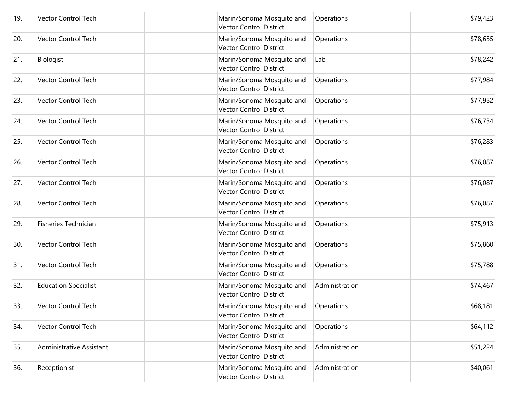| 19. | <b>Vector Control Tech</b>  | Marin/Sonoma Mosquito and<br><b>Vector Control District</b> | Operations     | \$79,423 |
|-----|-----------------------------|-------------------------------------------------------------|----------------|----------|
| 20. | Vector Control Tech         | Marin/Sonoma Mosquito and<br><b>Vector Control District</b> | Operations     | \$78,655 |
| 21. | Biologist                   | Marin/Sonoma Mosquito and<br><b>Vector Control District</b> | Lab            | \$78,242 |
| 22. | Vector Control Tech         | Marin/Sonoma Mosquito and<br><b>Vector Control District</b> | Operations     | \$77,984 |
| 23. | Vector Control Tech         | Marin/Sonoma Mosquito and<br><b>Vector Control District</b> | Operations     | \$77,952 |
| 24. | Vector Control Tech         | Marin/Sonoma Mosquito and<br><b>Vector Control District</b> | Operations     | \$76,734 |
| 25. | Vector Control Tech         | Marin/Sonoma Mosquito and<br>Vector Control District        | Operations     | \$76,283 |
| 26. | Vector Control Tech         | Marin/Sonoma Mosquito and<br><b>Vector Control District</b> | Operations     | \$76,087 |
| 27. | Vector Control Tech         | Marin/Sonoma Mosquito and<br><b>Vector Control District</b> | Operations     | \$76,087 |
| 28. | <b>Vector Control Tech</b>  | Marin/Sonoma Mosquito and<br><b>Vector Control District</b> | Operations     | \$76,087 |
| 29. | Fisheries Technician        | Marin/Sonoma Mosquito and<br><b>Vector Control District</b> | Operations     | \$75,913 |
| 30. | Vector Control Tech         | Marin/Sonoma Mosquito and<br><b>Vector Control District</b> | Operations     | \$75,860 |
| 31. | Vector Control Tech         | Marin/Sonoma Mosquito and<br><b>Vector Control District</b> | Operations     | \$75,788 |
| 32. | <b>Education Specialist</b> | Marin/Sonoma Mosquito and<br><b>Vector Control District</b> | Administration | \$74,467 |
| 33. | Vector Control Tech         | Marin/Sonoma Mosquito and<br>Vector Control District        | Operations     | \$68,181 |
| 34. | <b>Vector Control Tech</b>  | Marin/Sonoma Mosquito and<br><b>Vector Control District</b> | Operations     | \$64,112 |
| 35. | Administrative Assistant    | Marin/Sonoma Mosquito and<br><b>Vector Control District</b> | Administration | \$51,224 |
| 36. | Receptionist                | Marin/Sonoma Mosquito and<br>Vector Control District        | Administration | \$40,061 |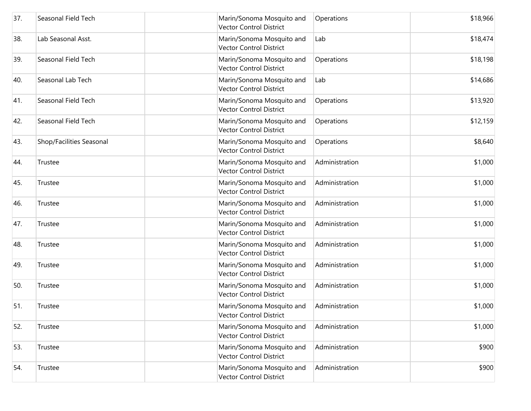| 37. | Seasonal Field Tech      | Marin/Sonoma Mosquito and<br><b>Vector Control District</b> | Operations     | \$18,966 |
|-----|--------------------------|-------------------------------------------------------------|----------------|----------|
| 38. | Lab Seasonal Asst.       | Marin/Sonoma Mosquito and<br><b>Vector Control District</b> | Lab            | \$18,474 |
| 39. | Seasonal Field Tech      | Marin/Sonoma Mosquito and<br><b>Vector Control District</b> | Operations     | \$18,198 |
| 40. | Seasonal Lab Tech        | Marin/Sonoma Mosquito and<br><b>Vector Control District</b> | Lab            | \$14,686 |
| 41. | Seasonal Field Tech      | Marin/Sonoma Mosquito and<br><b>Vector Control District</b> | Operations     | \$13,920 |
| 42. | Seasonal Field Tech      | Marin/Sonoma Mosquito and<br><b>Vector Control District</b> | Operations     | \$12,159 |
| 43. | Shop/Facilities Seasonal | Marin/Sonoma Mosquito and<br><b>Vector Control District</b> | Operations     | \$8,640  |
| 44. | Trustee                  | Marin/Sonoma Mosquito and<br><b>Vector Control District</b> | Administration | \$1,000  |
| 45. | Trustee                  | Marin/Sonoma Mosquito and<br><b>Vector Control District</b> | Administration | \$1,000  |
| 46. | Trustee                  | Marin/Sonoma Mosquito and<br><b>Vector Control District</b> | Administration | \$1,000  |
| 47. | Trustee                  | Marin/Sonoma Mosquito and<br><b>Vector Control District</b> | Administration | \$1,000  |
| 48. | Trustee                  | Marin/Sonoma Mosquito and<br><b>Vector Control District</b> | Administration | \$1,000  |
| 49. | Trustee                  | Marin/Sonoma Mosquito and<br><b>Vector Control District</b> | Administration | \$1,000  |
| 50. | Trustee                  | Marin/Sonoma Mosquito and<br><b>Vector Control District</b> | Administration | \$1,000  |
| 51. | Trustee                  | Marin/Sonoma Mosquito and<br>Vector Control District        | Administration | \$1,000  |
| 52. | Trustee                  | Marin/Sonoma Mosquito and<br><b>Vector Control District</b> | Administration | \$1,000  |
| 53. | Trustee                  | Marin/Sonoma Mosquito and<br><b>Vector Control District</b> | Administration | \$900    |
| 54. | Trustee                  | Marin/Sonoma Mosquito and<br>Vector Control District        | Administration | \$900    |